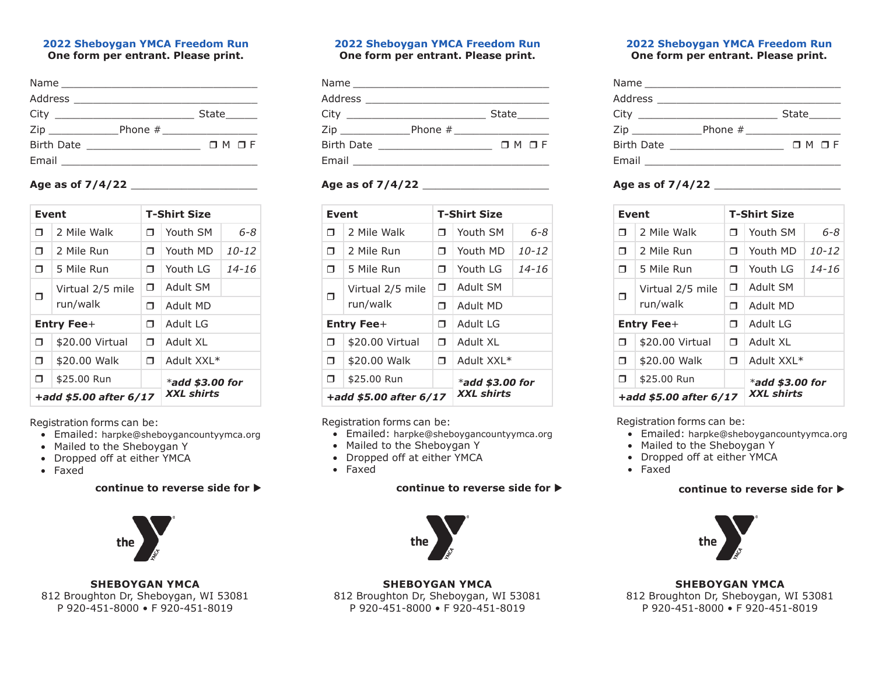# **2022 Sheboygan YMCA Freedom Run**

**One form per entrant. Please print.**

|                   | State $\_\_$    |
|-------------------|-----------------|
| Zip               |                 |
| <b>Birth Date</b> | $M$ $M$ $R$ $F$ |
|                   |                 |

# **Age as of 7/4/22** \_\_\_\_\_\_\_\_\_\_\_\_\_\_\_\_\_\_\_\_

|                        | Event            |                   | <b>T-Shirt Size</b> |           |
|------------------------|------------------|-------------------|---------------------|-----------|
| ⊓                      | 2 Mile Walk      | ⊓                 | Youth SM            | 6-8       |
| ⊓                      | 2 Mile Run       | п.                | Youth MD            | $10 - 12$ |
| $\Box$                 | 5 Mile Run       | ⊓                 | Youth LG            | $14 - 16$ |
|                        | Virtual 2/5 mile |                   | Adult SM            |           |
|                        | ⊓<br>run/walk    | ⊓                 | Adult MD            |           |
| Entry Fee+             |                  | ⊓                 | Adult LG            |           |
| ⊓                      | \$20.00 Virtual  | ⊓                 | Adult XI            |           |
| $\Box$                 | \$20.00 Walk     |                   | * Adult XXI         |           |
| □                      | \$25.00 Run      |                   | $*$ add \$3.00 for  |           |
| +add \$5.00 after 6/17 |                  | <b>XXL shirts</b> |                     |           |

Registration forms can be:

- Emailed: harpke@sheboygancountyymca.org
- Mailed to the Sheboygan Y
- Dropped off at either YMCA
- Faxed

# $\text{continue}$  to reverse side for  $\blacktriangleright$



**SHEBOYGAN YMCA** 812 Broughton Dr, Sheboygan, WI 53081 P 920-451-8000 • F 920-451-8019

## **2022 Sheboygan YMCA Freedom Run One form per entrant. Please print.**

|                                                                                                               | Address __________________________                                                                            |                 |
|---------------------------------------------------------------------------------------------------------------|---------------------------------------------------------------------------------------------------------------|-----------------|
|                                                                                                               |                                                                                                               | State______     |
| Zip and the second second second second second second second second second second second second second second |                                                                                                               |                 |
| <b>Birth Date</b>                                                                                             | the control of the control of the control of the control of the control of                                    | $M$ $M$ $R$ $F$ |
|                                                                                                               | Email and the contract of the contract of the contract of the contract of the contract of the contract of the |                 |

# **Age as of 7/4/22** \_\_\_\_\_\_\_\_\_\_\_\_\_\_\_\_\_\_\_\_

|        | Event                   |    | <b>T-Shirt Size</b> |           |
|--------|-------------------------|----|---------------------|-----------|
| ⊓      | 2 Mile Walk             | ⊓  | Youth SM            | 6-8       |
| ⊓      | 2 Mile Run              | п. | Youth MD            | $10 - 12$ |
| ⊓      | 5 Mile Run              | Π. | Youth LG            | $14 - 16$ |
|        | Virtual 2/5 mile        | Π. | Adult SM            |           |
|        | ⊓<br>run/walk           |    | Adult MD            |           |
|        | <b>Entry Fee+</b><br>Π. |    | Adult I G           |           |
| ⊓      | \$20.00 Virtual         | Π. | Adult XI            |           |
| $\Box$ | \$20.00 Walk            |    | Adult XXL*          |           |
| $\Box$ | \$25.00 Run             |    | $*$ add \$3.00 for  |           |
|        | +add \$5.00 after 6/17  |    | <b>XXL shirts</b>   |           |

Registration forms can be:

- Emailed: harpke@sheboygancountyymca.org
- Mailed to the Sheboygan Y
- Dropped off at either YMCA
- Faxed

## **continue to reverse side for**  $\blacktriangleright$



**SHEBOYGAN YMCA** 812 Broughton Dr, Sheboygan, WI 53081 P 920-451-8000 • F 920-451-8019

### **2022 Sheboygan YMCA Freedom Run One form per entrant. Please print.**

|                   | Address _____________________                      |                       |
|-------------------|----------------------------------------------------|-----------------------|
|                   |                                                    | State                 |
| Zip _____________ |                                                    |                       |
| <b>Birth Date</b> | <u> 1989 - John Stone, Amerikaansk politiker (</u> | $\sqcap$ M $\sqcap$ F |
| Email             |                                                    |                       |

# **Age as of 7/4/22** \_\_\_\_\_\_\_\_\_\_\_\_\_\_\_\_\_\_\_\_

|                        | Event            |                   | <b>T-Shirt Size</b> |           |
|------------------------|------------------|-------------------|---------------------|-----------|
| ⊓                      | 2 Mile Walk      | ⊓                 | Youth SM            | 6-8       |
| ⊓                      | 2 Mile Run       | ⊓                 | Youth MD            | $10 - 12$ |
| ⊓                      | 5 Mile Run       | ⊓                 | Youth I G           | $14 - 16$ |
| ⊓                      | Virtual 2/5 mile | ⊓                 | Adult SM            |           |
|                        | run/walk         |                   | Adult MD            |           |
| Entry Fee+             |                  | ⊓                 | Adult I G           |           |
| Π.                     | \$20.00 Virtual  |                   | Adult XI            |           |
| $\Box$                 | \$20.00 Walk     |                   | Adult XXL*          |           |
| Π<br>\$25.00 Run       |                  |                   | $*$ add \$3.00 for  |           |
| +add \$5.00 after 6/17 |                  | <b>XXL</b> shirts |                     |           |

Registration forms can be:

- Emailed: harpke@sheboygancountyymca.org
- Mailed to the Sheboygan Y
- Dropped off at either YMCA
- Faxed

# continue to reverse side for  $\blacktriangleright$



**SHEBOYGAN YMCA** 812 Broughton Dr, Sheboygan, WI 53081 P 920-451-8000 • F 920-451-8019